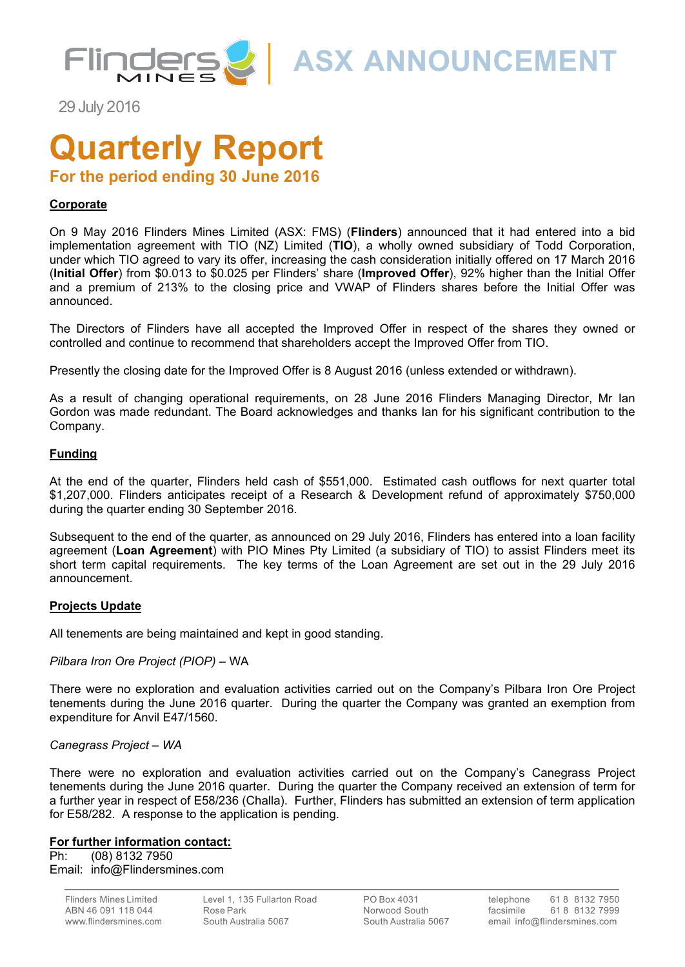

**ASX ANNOUNCEMENT**

29 July 2016

# **Quarterly Report**

**For the period ending 30 June 2016**

#### **Corporate**

On 9 May 2016 Flinders Mines Limited (ASX: FMS) (**Flinders**) announced that it had entered into a bid implementation agreement with TIO (NZ) Limited (**TIO**), a wholly owned subsidiary of Todd Corporation, under which TIO agreed to vary its offer, increasing the cash consideration initially offered on 17 March 2016 (**Initial Offer**) from \$0.013 to \$0.025 per Flinders' share (**Improved Offer**), 92% higher than the Initial Offer and a premium of 213% to the closing price and VWAP of Flinders shares before the Initial Offer was announced.

The Directors of Flinders have all accepted the Improved Offer in respect of the shares they owned or controlled and continue to recommend that shareholders accept the Improved Offer from TIO.

Presently the closing date for the Improved Offer is 8 August 2016 (unless extended or withdrawn).

As a result of changing operational requirements, on 28 June 2016 Flinders Managing Director, Mr Ian Gordon was made redundant. The Board acknowledges and thanks Ian for his significant contribution to the Company.

#### **Funding**

At the end of the quarter, Flinders held cash of \$551,000. Estimated cash outflows for next quarter total \$1,207,000. Flinders anticipates receipt of a Research & Development refund of approximately \$750,000 during the quarter ending 30 September 2016.

Subsequent to the end of the quarter, as announced on 29 July 2016, Flinders has entered into a loan facility agreement (**Loan Agreement**) with PIO Mines Pty Limited (a subsidiary of TIO) to assist Flinders meet its short term capital requirements. The key terms of the Loan Agreement are set out in the 29 July 2016 announcement.

#### **Projects Update**

All tenements are being maintained and kept in good standing.

#### *Pilbara Iron Ore Project (PIOP) –* WA

There were no exploration and evaluation activities carried out on the Company's Pilbara Iron Ore Project tenements during the June 2016 quarter. During the quarter the Company was granted an exemption from expenditure for Anvil E47/1560.

#### *Canegrass Project – WA*

There were no exploration and evaluation activities carried out on the Company's Canegrass Project tenements during the June 2016 quarter. During the quarter the Company received an extension of term for a further year in respect of E58/236 (Challa). Further, Flinders has submitted an extension of term application for E58/282. A response to the application is pending.

#### **For further information contact:**

Ph: (08) 8132 7950 Email: info@Flindersmines.com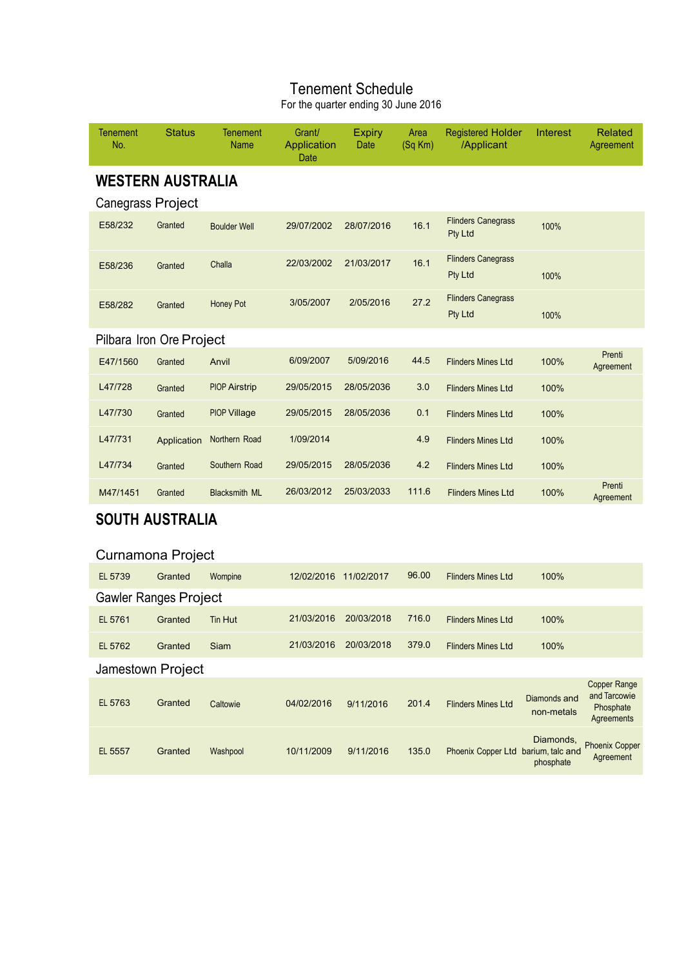# Tenement Schedule

For the quarter ending 30 June 2016

| Tenement<br>No.              | <b>Status</b> | <b>Tenement</b><br><b>Name</b> | Grant/<br>Application<br>Date | <b>Expiry</b><br>Date | Area<br>(Sq Km) | <b>Registered Holder</b><br>/Applicant | Interest                   | Related<br>Agreement                                    |
|------------------------------|---------------|--------------------------------|-------------------------------|-----------------------|-----------------|----------------------------------------|----------------------------|---------------------------------------------------------|
| <b>WESTERN AUSTRALIA</b>     |               |                                |                               |                       |                 |                                        |                            |                                                         |
| Canegrass Project            |               |                                |                               |                       |                 |                                        |                            |                                                         |
| E58/232                      | Granted       | <b>Boulder Well</b>            | 29/07/2002                    | 28/07/2016            | 16.1            | <b>Flinders Canegrass</b><br>Pty Ltd   | 100%                       |                                                         |
| E58/236                      | Granted       | Challa                         | 22/03/2002                    | 21/03/2017            | 16.1            | <b>Flinders Canegrass</b><br>Pty Ltd   | 100%                       |                                                         |
| E58/282                      | Granted       | Honey Pot                      | 3/05/2007                     | 2/05/2016             | 27.2            | <b>Flinders Canegrass</b><br>Pty Ltd   | 100%                       |                                                         |
| Pilbara Iron Ore Project     |               |                                |                               |                       |                 |                                        |                            |                                                         |
| E47/1560                     | Granted       | Anvil                          | 6/09/2007                     | 5/09/2016             | 44.5            | <b>Flinders Mines Ltd</b>              | 100%                       | Prenti<br>Agreement                                     |
| L47/728                      | Granted       | <b>PIOP Airstrip</b>           | 29/05/2015                    | 28/05/2036            | 3.0             | <b>Flinders Mines Ltd</b>              | 100%                       |                                                         |
| L47/730                      | Granted       | <b>PIOP Village</b>            | 29/05/2015                    | 28/05/2036            | 0.1             | <b>Flinders Mines Ltd</b>              | 100%                       |                                                         |
| L47/731                      | Application   | Northern Road                  | 1/09/2014                     |                       | 4.9             | <b>Flinders Mines Ltd</b>              | 100%                       |                                                         |
| L47/734                      | Granted       | Southern Road                  | 29/05/2015                    | 28/05/2036            | 4.2             | <b>Flinders Mines Ltd</b>              | 100%                       |                                                         |
| M47/1451                     | Granted       | <b>Blacksmith ML</b>           | 26/03/2012                    | 25/03/2033            | 111.6           | <b>Flinders Mines Ltd</b>              | 100%                       | Prenti<br>Agreement                                     |
| <b>SOUTH AUSTRALIA</b>       |               |                                |                               |                       |                 |                                        |                            |                                                         |
| Curnamona Project            |               |                                |                               |                       |                 |                                        |                            |                                                         |
| EL 5739                      | Granted       | Wompine                        | 12/02/2016 11/02/2017         |                       | 96.00           | <b>Flinders Mines Ltd</b>              | 100%                       |                                                         |
| <b>Gawler Ranges Project</b> |               |                                |                               |                       |                 |                                        |                            |                                                         |
| EL 5761                      | Granted       | <b>Tin Hut</b>                 | 21/03/2016                    | 20/03/2018            | 716.0           | <b>Flinders Mines Ltd</b>              | 100%                       |                                                         |
| EL 5762                      | Granted       | Siam                           | 21/03/2016                    | 20/03/2018            | 379.0           | <b>Flinders Mines Ltd</b>              | 100%                       |                                                         |
| Jamestown Project            |               |                                |                               |                       |                 |                                        |                            |                                                         |
| EL 5763                      | Granted       | Caltowie                       | 04/02/2016                    | 9/11/2016             | 201.4           | <b>Flinders Mines Ltd</b>              | Diamonds and<br>non-metals | Copper Range<br>and Tarcowie<br>Phosphate<br>Agreements |
| EL 5557                      | Granted       | Washpool                       | 10/11/2009                    | 9/11/2016             | 135.0           | Phoenix Copper Ltd barium, talc and    | Diamonds,<br>phosphate     | <b>Phoenix Copper</b><br>Agreement                      |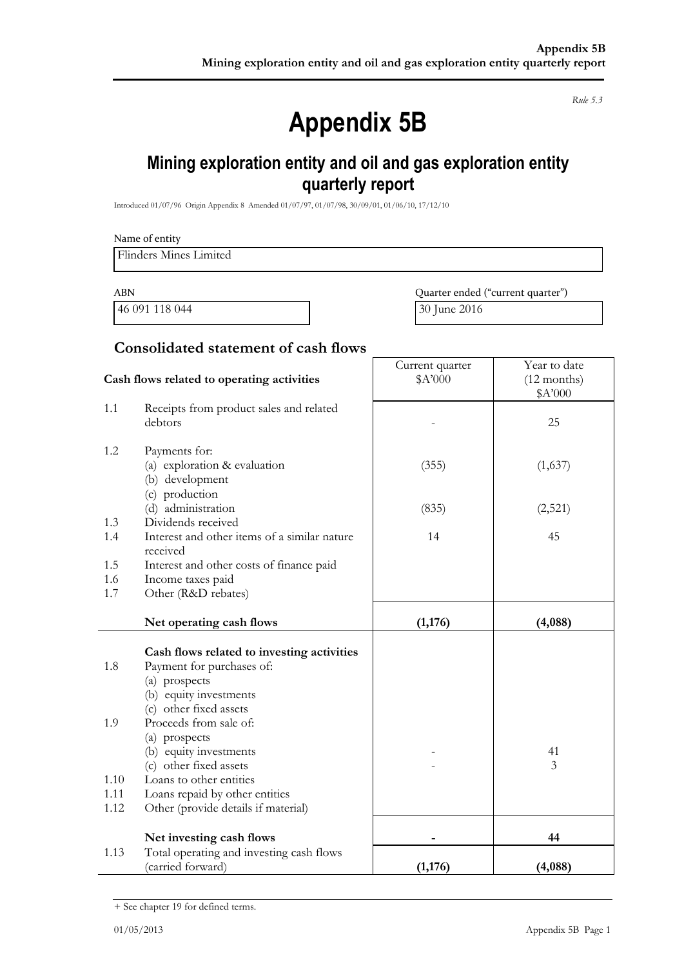*Rule 5.3*

# **Appendix 5B**

# **Mining exploration entity and oil and gas exploration entity quarterly report**

Introduced 01/07/96 Origin Appendix 8 Amended 01/07/97, 01/07/98, 30/09/01, 01/06/10, 17/12/10

|                      | Flinders Mines Limited                                                                                                     |                                   |                                          |
|----------------------|----------------------------------------------------------------------------------------------------------------------------|-----------------------------------|------------------------------------------|
| <b>ABN</b>           |                                                                                                                            | Quarter ended ("current quarter") |                                          |
|                      | 46 091 118 044                                                                                                             | 30 June 2016                      |                                          |
|                      | <b>Consolidated statement of cash flows</b>                                                                                |                                   |                                          |
|                      | Cash flows related to operating activities                                                                                 | Current quarter<br>\$A'000        | Year to date<br>$(12$ months)<br>\$A'000 |
| 1.1                  | Receipts from product sales and related<br>debtors                                                                         |                                   | 25                                       |
| 1.2                  | Payments for:<br>(a) exploration & evaluation<br>(b) development                                                           | (355)                             | (1,637)                                  |
| 1.3                  | (c) production<br>(d) administration<br>Dividends received                                                                 | (835)                             | (2,521)                                  |
| 1.4                  | Interest and other items of a similar nature<br>received                                                                   | 14                                | 45                                       |
| 1.5<br>1.6<br>1.7    | Interest and other costs of finance paid<br>Income taxes paid<br>Other (R&D rebates)                                       |                                   |                                          |
|                      | Net operating cash flows                                                                                                   | (1,176)                           | (4,088)                                  |
| 1.8                  | Cash flows related to investing activities<br>Payment for purchases of:<br>(a) prospects<br>(b) equity investments         |                                   |                                          |
| 1.9                  | (c) other fixed assets<br>Proceeds from sale of:<br>(a) prospects<br>(b) equity investments                                |                                   | 41                                       |
| 1.10<br>1.11<br>1.12 | (c) other fixed assets<br>Loans to other entities<br>Loans repaid by other entities<br>Other (provide details if material) |                                   | 3                                        |
|                      | Net investing cash flows                                                                                                   |                                   | 44                                       |
| 1.13                 | Total operating and investing cash flows<br>(carried forward)                                                              | (1, 176)                          | (4,088)                                  |

<sup>+</sup> See chapter 19 for defined terms.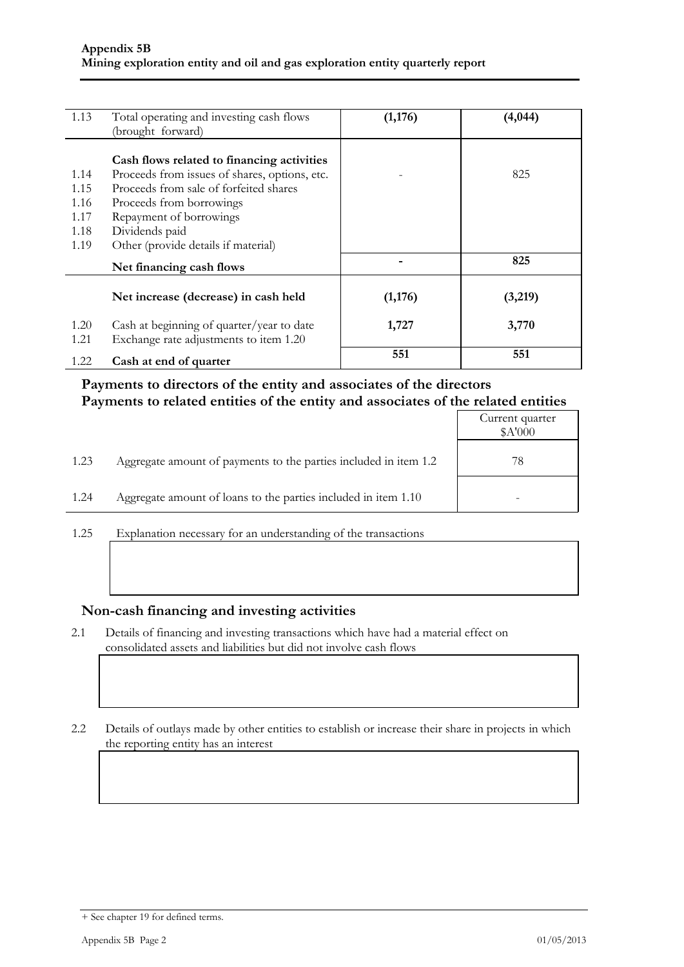| 1.13 | Total operating and investing cash flows      | (1,176) | (4,044) |
|------|-----------------------------------------------|---------|---------|
|      | (brought forward)                             |         |         |
|      | Cash flows related to financing activities    |         |         |
| 1.14 | Proceeds from issues of shares, options, etc. |         | 825     |
| 1.15 | Proceeds from sale of forfeited shares        |         |         |
| 1.16 | Proceeds from borrowings                      |         |         |
| 1.17 | Repayment of borrowings                       |         |         |
| 1.18 | Dividends paid                                |         |         |
| 1.19 | Other (provide details if material)           |         |         |
|      | Net financing cash flows                      |         | 825     |
|      | Net increase (decrease) in cash held          | (1,176) | (3,219) |
| 1.20 | Cash at beginning of quarter/year to date     | 1,727   | 3,770   |
| 1.21 | Exchange rate adjustments to item 1.20        |         |         |
| 1.22 | Cash at end of quarter                        | 551     | 551     |

#### **Payments to directors of the entity and associates of the directors Payments to related entities of the entity and associates of the related entities**

|      |                                                                  | Current quarter<br>\$A'000 |
|------|------------------------------------------------------------------|----------------------------|
| 1.23 | Aggregate amount of payments to the parties included in item 1.2 | 78                         |
| 1.24 | Aggregate amount of loans to the parties included in item 1.10   |                            |

1.25 Explanation necessary for an understanding of the transactions

#### **Non-cash financing and investing activities**

2.1 Details of financing and investing transactions which have had a material effect on consolidated assets and liabilities but did not involve cash flows

2.2 Details of outlays made by other entities to establish or increase their share in projects in which the reporting entity has an interest

<sup>+</sup> See chapter 19 for defined terms.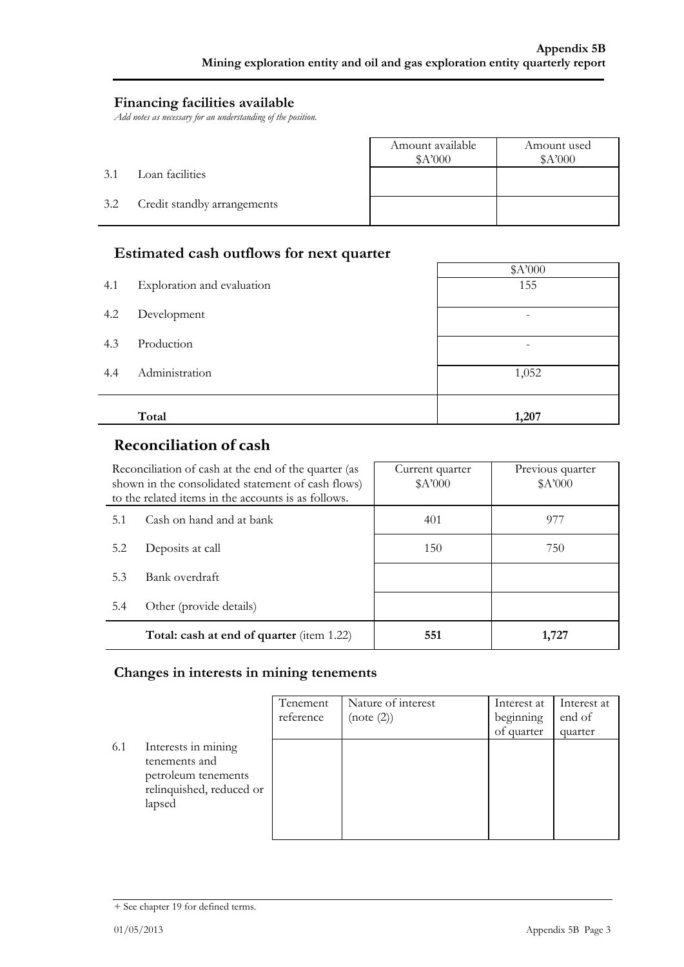#### **Financing facilities available**

*Add notes as necessary for an understanding of the position.*

|     |                             | Amount available<br>A'000 | Amount used<br>\$A'000 |
|-----|-----------------------------|---------------------------|------------------------|
| 3.1 | Loan facilities             |                           |                        |
| 3.2 | Credit standby arrangements |                           |                        |

#### **Estimated cash outflows for next quarter**

|     |                            | \$A'000                  |
|-----|----------------------------|--------------------------|
| 4.1 | Exploration and evaluation | 155                      |
| 4.2 | Development                | $\overline{\phantom{a}}$ |
| 4.3 | Production                 |                          |
| 4.4 | Administration             | 1,052                    |
|     | Total                      | 1,207                    |
|     |                            |                          |

### **Reconciliation of cash**

|     | Reconciliation of cash at the end of the quarter (as<br>shown in the consolidated statement of cash flows)<br>to the related items in the accounts is as follows. | Current quarter<br>A'000 | Previous quarter<br>A'000 |
|-----|-------------------------------------------------------------------------------------------------------------------------------------------------------------------|--------------------------|---------------------------|
| 5.1 | Cash on hand and at bank                                                                                                                                          | 401                      | 977                       |
| 5.2 | Deposits at call                                                                                                                                                  | 150                      | 750                       |
| 5.3 | Bank overdraft                                                                                                                                                    |                          |                           |
| 5.4 | Other (provide details)                                                                                                                                           |                          |                           |
|     | Total: cash at end of quarter (item 1.22)                                                                                                                         | 551                      | 1,727                     |

#### **Changes in interests in mining tenements**

|     |                                                                                                   | Tenement<br>reference | Nature of interest<br>(note (2)) | Interest at<br>beginning<br>of quarter | Interest at<br>end of<br>quarter |
|-----|---------------------------------------------------------------------------------------------------|-----------------------|----------------------------------|----------------------------------------|----------------------------------|
| 6.1 | Interests in mining<br>tenements and<br>petroleum tenements<br>relinquished, reduced or<br>lapsed |                       |                                  |                                        |                                  |

<sup>+</sup> See chapter 19 for defined terms.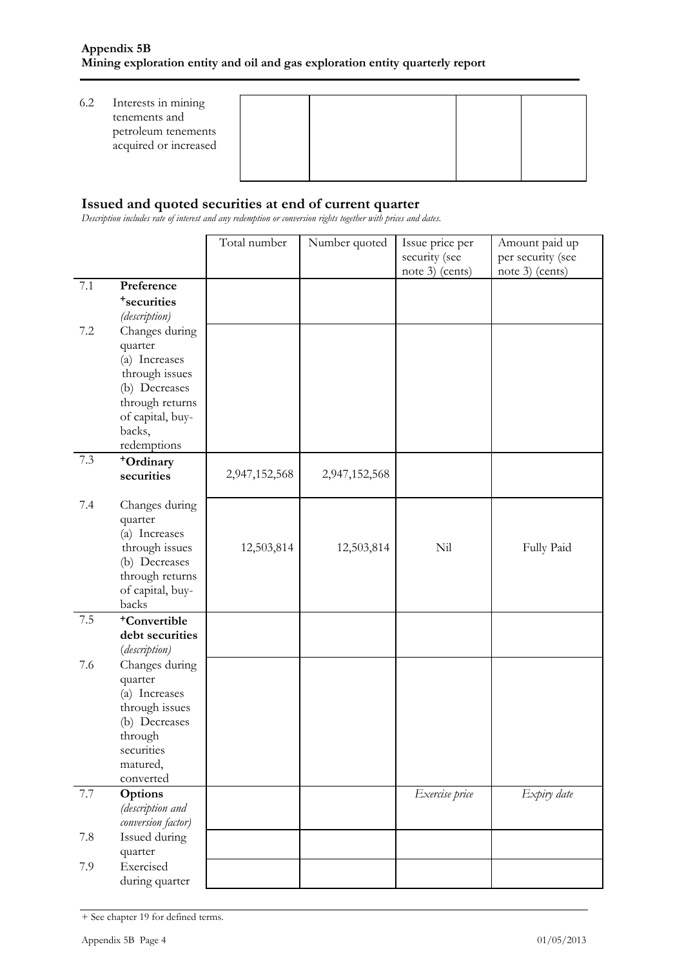| 6.2 | Interests in mining<br>tenements and<br>petroleum tenements<br>acquired or increased |  |  |
|-----|--------------------------------------------------------------------------------------|--|--|
|     |                                                                                      |  |  |

#### **Issued and quoted securities at end of current quarter**

*Description includes rate of interest and any redemption or conversion rights together with prices and dates.*

|         |                                     | Total number  | Number quoted | Issue price per | Amount paid up    |
|---------|-------------------------------------|---------------|---------------|-----------------|-------------------|
|         |                                     |               |               | security (see   | per security (see |
|         |                                     |               |               | note 3) (cents) | note 3) (cents)   |
| $7.1\,$ | Preference                          |               |               |                 |                   |
|         | <sup>+</sup> securities             |               |               |                 |                   |
|         | (description)                       |               |               |                 |                   |
| 7.2     | Changes during                      |               |               |                 |                   |
|         | quarter                             |               |               |                 |                   |
|         | (a) Increases                       |               |               |                 |                   |
|         | through issues                      |               |               |                 |                   |
|         | (b) Decreases                       |               |               |                 |                   |
|         | through returns                     |               |               |                 |                   |
|         | of capital, buy-                    |               |               |                 |                   |
|         | backs,                              |               |               |                 |                   |
|         | redemptions                         |               |               |                 |                   |
| 7.3     | +Ordinary                           |               |               |                 |                   |
|         | securities                          | 2,947,152,568 | 2,947,152,568 |                 |                   |
|         |                                     |               |               |                 |                   |
| 7.4     | Changes during                      |               |               |                 |                   |
|         | quarter                             |               |               |                 |                   |
|         | (a) Increases                       |               |               |                 |                   |
|         | through issues                      | 12,503,814    | 12,503,814    | Nil             | Fully Paid        |
|         | (b) Decreases                       |               |               |                 |                   |
|         | through returns<br>of capital, buy- |               |               |                 |                   |
|         | backs                               |               |               |                 |                   |
| $7.5\,$ | <sup>+</sup> Convertible            |               |               |                 |                   |
|         | debt securities                     |               |               |                 |                   |
|         | (description)                       |               |               |                 |                   |
| 7.6     | Changes during                      |               |               |                 |                   |
|         | quarter                             |               |               |                 |                   |
|         | (a) Increases                       |               |               |                 |                   |
|         | through issues                      |               |               |                 |                   |
|         | (b) Decreases                       |               |               |                 |                   |
|         | through                             |               |               |                 |                   |
|         | securities                          |               |               |                 |                   |
|         | matured,                            |               |               |                 |                   |
|         | converted                           |               |               |                 |                   |
| 7.7     | Options                             |               |               | Exercise price  | Expiry date       |
|         | (description and                    |               |               |                 |                   |
|         | conversion factor)                  |               |               |                 |                   |
| 7.8     | Issued during                       |               |               |                 |                   |
|         | quarter                             |               |               |                 |                   |
| 7.9     | Exercised                           |               |               |                 |                   |
|         | during quarter                      |               |               |                 |                   |

<sup>+</sup> See chapter 19 for defined terms.